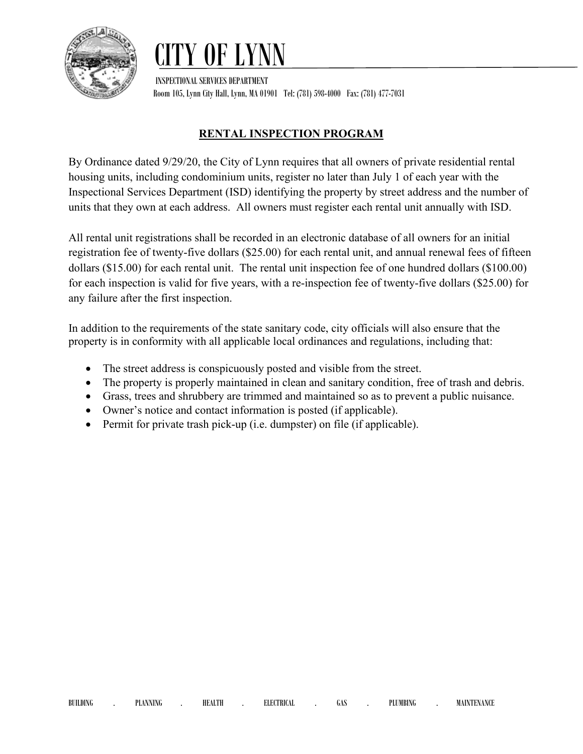

## OF LYN

 INSPECTIONAL SERVICES DEPARTMENT Room 105, Lynn City Hall, Lynn, MA 01901 Tel: (781) 598-4000 Fax: (781) 477-7031

## **RENTAL INSPECTION PROGRAM**

By Ordinance dated 9/29/20, the City of Lynn requires that all owners of private residential rental housing units, including condominium units, register no later than July 1 of each year with the Inspectional Services Department (ISD) identifying the property by street address and the number of units that they own at each address. All owners must register each rental unit annually with ISD.

All rental unit registrations shall be recorded in an electronic database of all owners for an initial registration fee of twenty-five dollars (\$25.00) for each rental unit, and annual renewal fees of fifteen dollars (\$15.00) for each rental unit. The rental unit inspection fee of one hundred dollars (\$100.00) for each inspection is valid for five years, with a re-inspection fee of twenty-five dollars (\$25.00) for any failure after the first inspection.

In addition to the requirements of the state sanitary code, city officials will also ensure that the property is in conformity with all applicable local ordinances and regulations, including that:

- The street address is conspicuously posted and visible from the street.
- The property is properly maintained in clean and sanitary condition, free of trash and debris.
- Grass, trees and shrubbery are trimmed and maintained so as to prevent a public nuisance.
- Owner's notice and contact information is posted (if applicable).
- Permit for private trash pick-up (i.e. dumpster) on file (if applicable).